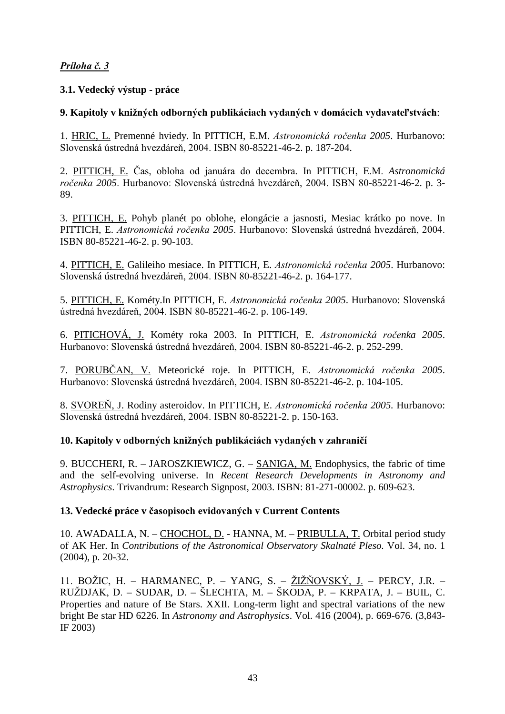# <u>Príloha č. 3</u>

## **3.1. Vedecký výstup - práce**

# 9. Kapitoly v knižných odborných publikáciach vydaných v domácich vydavateľstvách:

1. HRIC, L. Premenné hviedy. In PITTICH, E.M. Astronomická ročenka 2005. Hurbanovo: Slovenská ústredná hvezdáreň, 2004. ISBN 80-85221-46-2. p. 187-204.

2. PITTICH, E. Čas, obloha od januára do decembra. In PITTICH, E.M. Astronomická ročenka 2005. Hurbanovo: Slovenská ústredná hvezdáreň, 2004. ISBN 80-85221-46-2. p. 3-89.

3. PITTICH, E. Pohyb planét po oblohe, elongácie a jasnosti, Mesiac krátko po nove. In PITTICH, E. Astronomická ročenka 2005. Hurbanovo: Slovenská ústredná hvezdáreň, 2004. ISBN 80-85221-46-2. p. 90-103.

4. PITTICH, E. Galileiho mesiace. In PITTICH, E. Astronomická ročenka 2005. Hurbanovo: Slovenská ústredná hvezdáreň, 2004. ISBN 80-85221-46-2. p. 164-177.

5. PITTICH, E. Kométy.In PITTICH, E. Astronomická ročenka 2005. Hurbanovo: Slovenská ústredná hvezdáreň, 2004. ISBN 80-85221-46-2. p. 106-149.

6. PITICHOVÁ, J. Kométy roka 2003. In PITTICH, E. Astronomická ročenka 2005. Hurbanovo: Slovenská ústredná hvezdáreň, 2004. ISBN 80-85221-46-2. p. 252-299.

7. PORUBČAN, V. Meteorické roje. In PITTICH, E. Astronomická ročenka 2005. Hurbanovo: Slovenská ústredná hvezdáreň, 2004. ISBN 80-85221-46-2. p. 104-105.

8. SVOREŇ, J. Rodiny asteroidov. In PITTICH, E. Astronomická ročenka 2005. Hurbanovo: Slovenská ústredná hvezdáreň, 2004. ISBN 80-85221-2. p. 150-163.

## 10. Kapitoly v odborných knižných publikáciách vydaných v zahraničí

9. BUCCHERI, R. – JAROSZKIEWICZ, G. – SANIGA, M. Endophysics, the fabric of time and the self-evolving universe. In *Recent Research Developments in Astronomy and Astrophysics*. Trivandrum: Research Signpost, 2003. ISBN: 81-271-00002. p. 609-623.

#### 13. Vedecké práce v časopisoch evidovaných v Current Contents

10. AWADALLA, N. – CHOCHOL, D. - HANNA, M. – PRIBULLA, T. Orbital period study of AK Her. In *Contributions of the Astronomical Observatory Skalnaté Pleso.* Vol. 34, no. 1 (2004), p. 20-32.

11. BOŽIC, H. – HARMANEC, P. – YANG, S. – ŽIŽŇOVSKÝ, J. – PERCY, J.R. – RUŽDJAK, D. – SUDAR, D. – ŠLECHTA, M. – ŠKODA, P. – KRPATA, J. – BUIL, C. Properties and nature of Be Stars. XXII. Long-term light and spectral variations of the new bright Be star HD 6226. In *Astronomy and Astrophysics*. Vol. 416 (2004), p. 669-676. (3,843- IF 2003)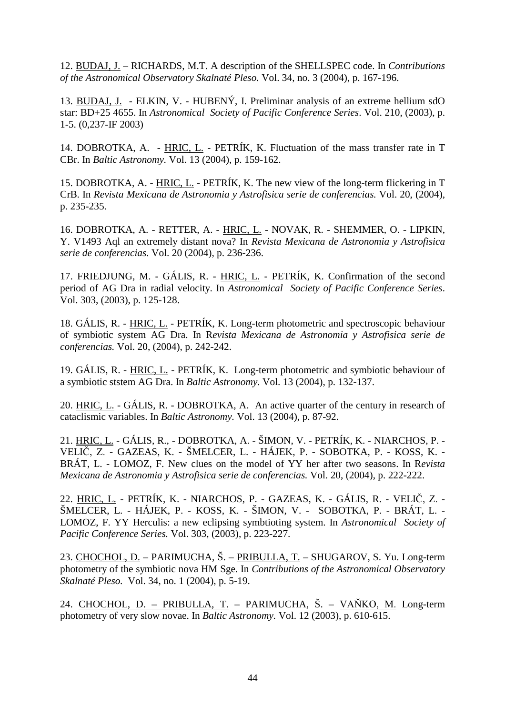12. BUDAJ, J. – RICHARDS, M.T. A description of the SHELLSPEC code. In *Contributions of the Astronomical Observatory Skalnaté Pleso.* Vol. 34, no. 3 (2004), p. 167-196.

13. BUDAJ, J. - ELKIN, V. - HUBENÝ, I. Preliminar analysis of an extreme hellium sdO star: BD+25 4655. In *Astronomical Society of Pacific Conference Series*. Vol. 210, (2003), p. 1-5. (0,237-IF 2003)

14. DOBROTKA, A. - HRIC, L. - PETRÍK, K. Fluctuation of the mass transfer rate in T CBr. In *Baltic Astronomy.* Vol. 13 (2004), p. 159-162.

15. DOBROTKA, A. - HRIC, L. - PETRÍK, K. The new view of the long-term flickering in T CrB. In *Revista Mexicana de Astronomia y Astrofisica serie de conferencias.* Vol. 20, (2004), p. 235-235.

16. DOBROTKA, A. - RETTER, A. - HRIC, L. - NOVAK, R. - SHEMMER, O. - LIPKIN, Y. V1493 Aql an extremely distant nova? In *Revista Mexicana de Astronomia y Astrofisica serie de conferencias.* Vol. 20 (2004), p. 236-236.

17. FRIEDJUNG, M. - GÁLIS, R. - HRIC, L. - PETRÍK, K. Confirmation of the second period of AG Dra in radial velocity. In *Astronomical Society of Pacific Conference Series*. Vol. 303, (2003), p. 125-128.

18. GÁLIS, R. - HRIC, L. - PETRÍK, K. Long-term photometric and spectroscopic behaviour of symbiotic system AG Dra. In R*evista Mexicana de Astronomia y Astrofisica serie de conferencias.* Vol. 20, (2004), p. 242-242.

19. GÁLIS, R. - HRIC, L. - PETRÍK, K. Long-term photometric and symbiotic behaviour of a symbiotic ststem AG Dra. In *Baltic Astronomy.* Vol. 13 (2004), p. 132-137.

20. HRIC, L. - GÁLIS, R. - DOBROTKA, A. An active quarter of the century in research of cataclismic variables. In *Baltic Astronomy.* Vol. 13 (2004), p. 87-92.

21. HRIC, L. - GÁLIS, R., - DOBROTKA, A. - ŠIMON, V. - PETRÍK, K. - NIARCHOS, P. - VELIČ, Z. - GAZEAS, K. - ŠMELCER, L. - HÁJEK, P. - SOBOTKA, P. - KOSS, K. -BRÁT, L. - LOMOZ, F. New clues on the model of YY her after two seasons. In R*evista Mexicana de Astronomia y Astrofisica serie de conferencias.* Vol. 20, (2004), p. 222-222.

22. <u>HRIC, L.</u> - PETRÍK, K. - NIARCHOS, P. - GAZEAS, K. - GÁLIS, R. - VELIČ, Z. -ŠMELCER, L. - HÁJEK, P. - KOSS, K. - ŠIMON, V. - SOBOTKA, P. - BRÁT, L. - LOMOZ, F. YY Herculis: a new eclipsing symbtioting system. In *Astronomical Society of Pacific Conference Series.* Vol. 303, (2003), p. 223-227.

23. CHOCHOL, D. – PARIMUCHA, Š. – PRIBULLA, T. – SHUGAROV, S. Yu. Long-term photometry of the symbiotic nova HM Sge. In *Contributions of the Astronomical Observatory Skalnaté Pleso.* Vol. 34, no. 1 (2004), p. 5-19.

24. CHOCHOL, D. - PRIBULLA, T. - PARIMUCHA, Š. - VAŇKO, M. Long-term photometry of very slow novae. In *Baltic Astronomy.* Vol. 12 (2003), p. 610-615.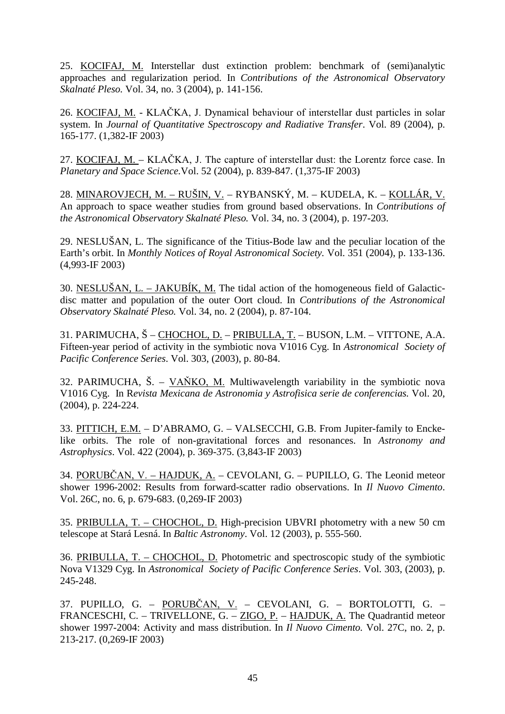25. KOCIFAJ, M. Interstellar dust extinction problem: benchmark of (semi)analytic approaches and regularization period. In *Contributions of the Astronomical Observatory Skalnaté Pleso.* Vol. 34, no. 3 (2004), p. 141-156.

26. KOCIFAJ, M. - KLAČKA, J. Dynamical behaviour of interstellar dust particles in solar system. In *Journal of Quantitative Spectroscopy and Radiative Transfer*. Vol. 89 (2004), p. 165-177. (1,382-IF 2003)

27. KOCIFAJ, M. – KLAČKA, J. The capture of interstellar dust: the Lorentz force case. In *Planetary and Space Science.*Vol. 52 (2004), p. 839-847. (1,375-IF 2003)

28. MINAROVJECH, M. – RUŠIN, V. – RYBANSKÝ, M. – KUDELA, K. – KOLLÁR, V. An approach to space weather studies from ground based observations. In *Contributions of the Astronomical Observatory Skalnaté Pleso.* Vol. 34, no. 3 (2004), p. 197-203.

29. NESLUŠAN, L. The significance of the Titius-Bode law and the peculiar location of the Earth's orbit. In *Monthly Notices of Royal Astronomical Society.* Vol. 351 (2004), p. 133-136. (4,993-IF 2003)

30. NESLUŠAN, L. – JAKUBÍK, M. The tidal action of the homogeneous field of Galacticdisc matter and population of the outer Oort cloud. In *Contributions of the Astronomical Observatory Skalnaté Pleso.* Vol. 34, no. 2 (2004), p. 87-104.

31. PARIMUCHA, Š – CHOCHOL, D. – PRIBULLA, T. – BUSON, L.M. – VITTONE, A.A. Fifteen-year period of activity in the symbiotic nova V1016 Cyg. In *Astronomical Society of Pacific Conference Series*. Vol. 303, (2003), p. 80-84.

32. PARIMUCHA, Š. –  $V\overrightarrow{ANKO}$ , M. Multiwavelength variability in the symbiotic nova V1016 Cyg. In R*evista Mexicana de Astronomia y Astrofisica serie de conferencias.* Vol. 20, (2004), p. 224-224.

33. PITTICH, E.M. – D'ABRAMO, G. – VALSECCHI, G.B. From Jupiter-family to Enckelike orbits. The role of non-gravitational forces and resonances. In *Astronomy and Astrophysics*. Vol. 422 (2004), p. 369-375. (3,843-IF 2003)

34. PORUBČAN, V. – HAJDUK, A. – CEVOLANI, G. – PUPILLO, G. The Leonid meteor shower 1996-2002: Results from forward-scatter radio observations. In *Il Nuovo Cimento*. Vol. 26C, no. 6, p. 679-683. (0,269-IF 2003)

35. PRIBULLA, T. – CHOCHOL, D. High-precision UBVRI photometry with a new 50 cm telescope at Stará Lesná. In *Baltic Astronomy*. Vol. 12 (2003), p. 555-560.

36. PRIBULLA, T. – CHOCHOL, D. Photometric and spectroscopic study of the symbiotic Nova V1329 Cyg. In *Astronomical Society of Pacific Conference Series*. Vol. 303, (2003), p. 245-248.

37. PUPILLO, G. – <u>PORUBČAN, V.</u> – CEVOLANI, G. – BORTOLOTTI, G. – FRANCESCHI, C. – TRIVELLONE, G. – ZIGO, P. – HAJDUK, A. The Quadrantid meteor shower 1997-2004: Activity and mass distribution. In *Il Nuovo Cimento.* Vol. 27C, no. 2, p. 213-217. (0,269-IF 2003)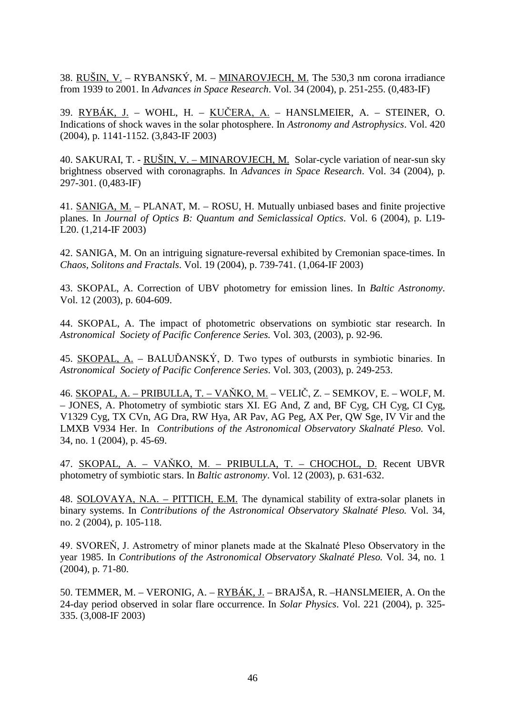38. RUŠIN, V. – RYBANSKÝ, M. – MINAROVJECH, M. The 530,3 nm corona irradiance from 1939 to 2001. In *Advances in Space Research*. Vol. 34 (2004), p. 251-255. (0,483-IF)

39. <u>RYBÁK, J.</u> – WOHL, H. – <u>KUČERA, A.</u> – HANSLMEIER, A. – STEINER, O. Indications of shock waves in the solar photosphere. In *Astronomy and Astrophysics*. Vol. 420 (2004), p. 1141-1152. (3,843-IF 2003)

40. SAKURAI, T. - RUŠIN, V. – MINAROVJECH, M. Solar-cycle variation of near-sun sky brightness observed with coronagraphs. In *Advances in Space Research*. Vol. 34 (2004), p. 297-301. (0,483-IF)

41. SANIGA, M. – PLANAT, M. – ROSU, H. Mutually unbiased bases and finite projective planes. In *Journal of Optics B: Quantum and Semiclassical Optics*. Vol. 6 (2004), p. L19- L20. (1,214-IF 2003)

42. SANIGA, M. On an intriguing signature-reversal exhibited by Cremonian space-times. In *Chaos, Solitons and Fractals*. Vol. 19 (2004), p. 739-741. (1,064-IF 2003)

43. SKOPAL, A. Correction of UBV photometry for emission lines. In *Baltic Astronomy*. Vol. 12 (2003), p. 604-609.

44. SKOPAL, A. The impact of photometric observations on symbiotic star research. In *Astronomical Society of Pacific Conference Series.* Vol. 303, (2003), p. 92-96.

45. SKOPAL, A. – BALUĎANSKÝ, D. Two types of outbursts in symbiotic binaries. In *Astronomical Society of Pacific Conference Series*. Vol. 303, (2003), p. 249-253.

46. <u>SKOPAL, A. – PRIBULLA, T. – VAŇKO, M.</u> – VELIČ, Z. – SEMKOV, E. – WOLF, M. – JONES, A. Photometry of symbiotic stars XI. EG And, Z and, BF Cyg, CH Cyg, CI Cyg, V1329 Cyg, TX CVn, AG Dra, RW Hya, AR Pav, AG Peg, AX Per, QW Sge, IV Vir and the LMXB V934 Her. In *Contributions of the Astronomical Observatory Skalnaté Pleso.* Vol. 34, no. 1 (2004), p. 45-69.

47. SKOPAL, A. – VAŇKO, M. – PRIBULLA, T. – CHOCHOL, D. Recent UBVR photometry of symbiotic stars. In *Baltic astronomy*. Vol. 12 (2003), p. 631-632.

48. SOLOVAYA, N.A. – PITTICH, E.M. The dynamical stability of extra-solar planets in binary systems. In *Contributions of the Astronomical Observatory Skalnaté Pleso.* Vol. 34, no. 2 (2004), p. 105-118.

49. SVOREŇ, J. Astrometry of minor planets made at the Skalnaté Pleso Observatory in the year 1985. In *Contributions of the Astronomical Observatory Skalnaté Pleso.* Vol. 34, no. 1 (2004), p. 71-80.

50. TEMMER, M. – VERONIG, A. – RYBÁK, J. – BRAJŠA, R. –HANSLMEIER, A. On the 24-day period observed in solar flare occurrence. In *Solar Physics*. Vol. 221 (2004), p. 325- 335. (3,008-IF 2003)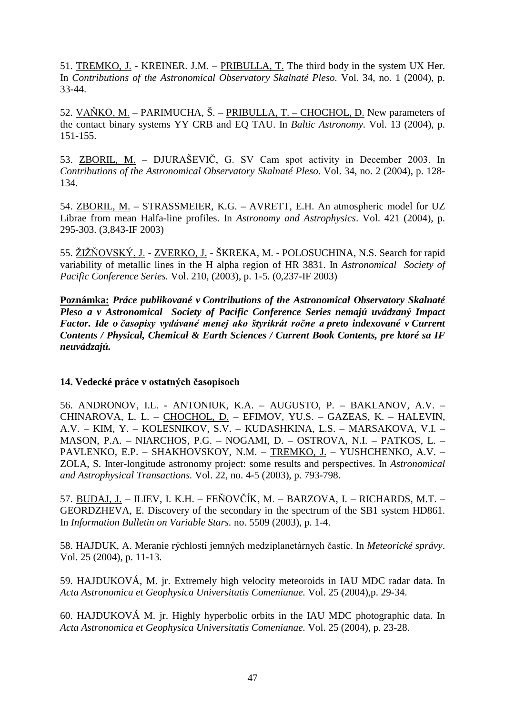51. TREMKO, J. - KREINER. J.M. – PRIBULLA, T. The third body in the system UX Her. In *Contributions of the Astronomical Observatory Skalnaté Pleso.* Vol. 34, no. 1 (2004), p. 33-44.

52. VAŇKO, M. – PARIMUCHA, Š. – PRIBULLA, T. – CHOCHOL, D. New parameters of the contact binary systems YY CRB and EQ TAU. In *Baltic Astronomy*. Vol. 13 (2004), p. 151-155.

53. **ZBORIL, M.** – DJURAŠEVIČ, G. SV Cam spot activity in December 2003. In *Contributions of the Astronomical Observatory Skalnaté Pleso.* Vol. 34, no. 2 (2004), p. 128- 134.

54. ZBORIL, M. – STRASSMEIER, K.G. – AVRETT, E.H. An atmospheric model for UZ Librae from mean Halfa-line profiles. In *Astronomy and Astrophysics*. Vol. 421 (2004), p. 295-303. (3,843-IF 2003)

55. ŽIŽŇOVSKÝ, J. - ZVERKO, J. - ŠKREKA, M. - POLOSUCHINA, N.S. Search for rapid variability of metallic lines in the H alpha region of HR 3831. In *Astronomical Society of Pacific Conference Series.* Vol. 210, (2003), p. 1-5. (0,237-IF 2003)

**Poznámka:** *Práce publikované v Contributions of the Astronomical Observatory Skalnaté Pleso a v Astronomical Society of Pacific Conference Series nemajú uvádzaný Impact*  Factor. Ide o časopisy vydávané menej ako štyrikrát ročne a preto indexované v Current *Contents / Physical, Chemical & Earth Sciences / Current Book Contents, pre ktoré sa IF neuvádzajú.*

### 14. Vedecké práce v ostatných časopisoch

56. ANDRONOV, I.L. - ANTONIUK, K.A. – AUGUSTO, P. – BAKLANOV, A.V. – CHINAROVA, L. L. – CHOCHOL, D. – EFIMOV, YU.S. – GAZEAS, K. – HALEVIN, A.V. – KIM, Y. – KOLESNIKOV, S.V. – KUDASHKINA, L.S. – MARSAKOVA, V.I. – MASON, P.A. – NIARCHOS, P.G. – NOGAMI, D. – OSTROVA, N.I. – PATKOS, L. – PAVLENKO, E.P. – SHAKHOVSKOY, N.M. – TREMKO, J. – YUSHCHENKO, A.V. – ZOLA, S. Inter-longitude astronomy project: some results and perspectives. In *Astronomical and Astrophysical Transactions.* Vol. 22, no. 4-5 (2003), p. 793-798.

57. <u>BUDAJ, J.</u> – ILIEV, I. K.H. – FEŇOVČÍK, M. – BARZOVA, I. – RICHARDS, M.T. – GEORDZHEVA, E. Discovery of the secondary in the spectrum of the SB1 system HD861. In *Information Bulletin on Variable Stars.* no. 5509 (2003), p. 1-4.

58. HAJDUK, A. Meranie rýchlostí jemných medziplanetárnych častíc. In Meteorické správy. Vol. 25 (2004), p. 11-13.

59. HAJDUKOVÁ, M. jr. Extremely high velocity meteoroids in IAU MDC radar data. In *Acta Astronomica et Geophysica Universitatis Comenianae.* Vol. 25 (2004),p. 29-34.

60. HAJDUKOVÁ M. jr. Highly hyperbolic orbits in the IAU MDC photographic data. In *Acta Astronomica et Geophysica Universitatis Comenianae.* Vol. 25 (2004), p. 23-28.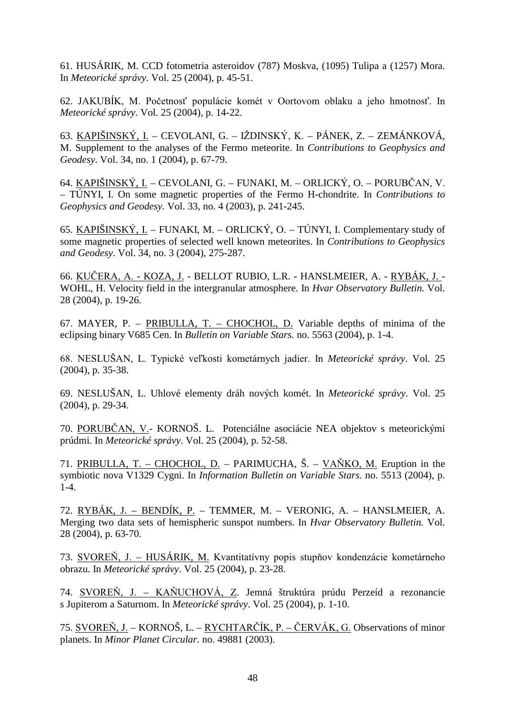61. HUSÁRIK, M. CCD fotometria asteroidov (787) Moskva, (1095) Tulipa a (1257) Mora. In *Meteorické správy*. Vol. 25 (2004), p. 45-51.

62. JAKUBÍK, M. Početnosť populácie komét v Oortovom oblaku a jeho hmotnosť. In *Meteorické správy*. Vol. 25 (2004), p. 14-22.

63. <u>KAPIŠINSKÝ, I.</u> – CEVOLANI, G. – IŽDINSKÝ, K. – PÁNEK, Z. – ZEMÁNKOVÁ, M. Supplement to the analyses of the Fermo meteorite. In *Contributions to Geophysics and Geodesy*. Vol. 34, no. 1 (2004), p. 67-79.

64. <u>KAPIŠINSKÝ, I.</u> – CEVOLANI, G. – FUNAKI, M. – ORLICKÝ, O. – PORUBČAN, V. – TÚNYI, I. On some magnetic properties of the Fermo H-chondrite. In *Contributions to Geophysics and Geodesy.* Vol. 33, no. 4 (2003), p. 241-245.

65. KAPIŠINSKÝ, I. – FUNAKI, M. – ORLICKÝ, O. – TÚNYI, I. Complementary study of some magnetic properties of selected well known meteorites. In *Contributions to Geophysics and Geodesy*. Vol. 34, no. 3 (2004), 275-287.

66. <u>KUČERA, A. - KOZA, J.</u> - BELLOT RUBIO, L.R. - HANSLMEIER, A. - <u>RYBÁK, J. -</u> WOHL, H. Velocity field in the intergranular atmosphere. In *Hvar Observatory Bulletin.* Vol. 28 (2004), p. 19-26.

67. MAYER, P. – PRIBULLA, T. – CHOCHOL, D. Variable depths of minima of the eclipsing binary V685 Cen. In *Bulletin on Variable Stars.* no. 5563 (2004), p. 1-4.

68. NESLUŠAN, L. Typické veľkosti kometárnych jadier. In Meteorické správy. Vol. 25 (2004), p. 35-38.

69. NESLUŠAN, L. Uhlové elementy dráh nových komét. In *Meteorické správy*. Vol. 25 (2004), p. 29-34.

70. PORUBČAN, V.- KORNOŠ. L. Potenciálne asociácie NEA objektov s meteorickými prúdmi. In *Meteorické správy*. Vol. 25 (2004), p. 52-58.

71. PRIBULLA, T. – CHOCHOL, D. – PARIMUCHA, Š. – VAŇKO, M. Eruption in the symbiotic nova V1329 Cygni. In *Information Bulletin on Variable Stars.* no. 5513 (2004)*,* p. 1-4.

72. RYBÁK, J. – BENDÍK, P. – TEMMER, M. – VERONIG, A. – HANSLMEIER, A. Merging two data sets of hemispheric sunspot numbers. In *Hvar Observatory Bulletin.* Vol. 28 (2004), p. 63-70.

73. SVOREŇ, J. – HUSÁRIK, M. Kvantitatívny popis stupňov kondenzácie kometárneho obrazu. In *Meteorické správy*. Vol. 25 (2004), p. 23-28.

74. SVOREŇ, J. – KAŇUCHOVÁ, Z. Jemná štruktúra prúdu Perzeíd a rezonancie s Jupiterom a Saturnom. In *Meteorické správy*. Vol. 25 (2004), p. 1-10.

75. SVOREŇ, J. – KORNOŠ, L. – RYCHTARČÍK, P. – ČERVÁK, G. Observations of minor planets. In *Minor Planet Circular.* no. 49881 (2003).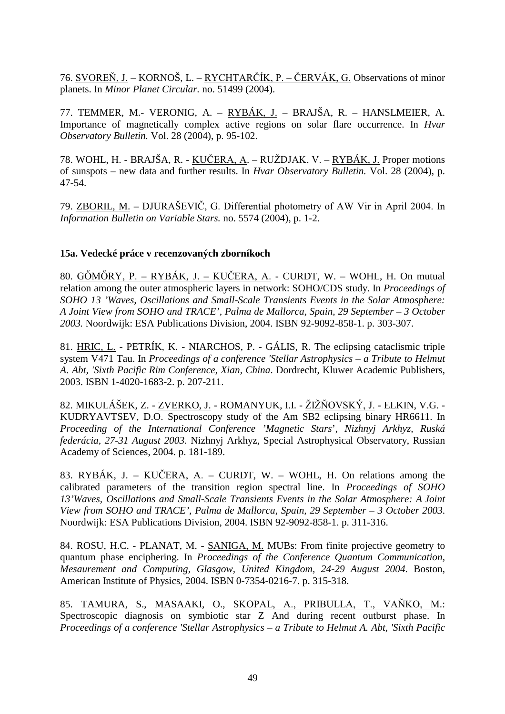76. SVOREŇ, J. – KORNOŠ, L. – RYCHTARČÍK, P. – ČERVÁK, G. Observations of minor planets. In *Minor Planet Circular.* no. 51499 (2004).

77. TEMMER, M.- VERONIG, A. – RYBÁK, J. – BRAJŠA, R. – HANSLMEIER, A. Importance of magnetically complex active regions on solar flare occurrence. In *Hvar Observatory Bulletin.* Vol. 28 (2004), p. 95-102.

78. WOHL, H. - BRAJŠA, R. - <u>KUČERA, A</u>. – RUŽDJAK, V. – <u>RYBÁK, J.</u> Proper motions of sunspots – new data and further results. In *Hvar Observatory Bulletin.* Vol. 28 (2004), p. 47-54.

79. **ZBORIL, M.** – DJURAŠEVIČ, G. Differential photometry of AW Vir in April 2004. In *Information Bulletin on Variable Stars.* no. 5574 (2004), p. 1-2.

#### **15a. Vedecké práce v recenzovaných zborníkoch**

80. GÖMÖRY, P. – RYBÁK, J. – KUČERA, A. - CURDT, W. – WOHL, H. On mutual relation among the outer atmospheric layers in network: SOHO/CDS study. In *Proceedings of SOHO 13 'Waves, Oscillations and Small-Scale Transients Events in the Solar Atmosphere: A Joint View from SOHO and TRACE', Palma de Mallorca, Spain, 29 September – 3 October 2003.* Noordwijk: ESA Publications Division, 2004. ISBN 92-9092-858-1. p. 303-307.

81. HRIC, L. - PETRÍK, K. - NIARCHOS, P. - GÁLIS, R. The eclipsing cataclismic triple system V471 Tau. In *Proceedings of a conference 'Stellar Astrophysics – a Tribute to Helmut A. Abt, 'Sixth Pacific Rim Conference, Xian, China*. Dordrecht, Kluwer Academic Publishers, 2003. ISBN 1-4020-1683-2. p. 207-211.

82. MIKULÁŠEK, Z. - <u>ZVERKO, J.</u> - ROMANYUK, I.I. - <u>ŽIŽŇOVSKÝ, J.</u> - ELKIN, V.G. -KUDRYAVTSEV, D.O. Spectroscopy study of the Am SB2 eclipsing binary HR6611. In *Proceeding of the International Conference 'Magnetic Stars*', *Nizhnyj Arkhyz, Ruská federácia, 27-31 August 2003*. Nizhnyj Arkhyz, Special Astrophysical Observatory, Russian Academy of Sciences, 2004. p. 181-189.

83.  $RYBAK, J. - KUČERA, A. - CURDT, W. - WOHL, H. On relations among the$ calibrated parameters of the transition region spectral line. In *Proceedings of SOHO 13'Waves, Oscillations and Small-Scale Transients Events in the Solar Atmosphere: A Joint View from SOHO and TRACE', Palma de Mallorca, Spain, 29 September – 3 October 2003*. Noordwijk: ESA Publications Division, 2004. ISBN 92-9092-858-1. p. 311-316.

84. ROSU, H.C. - PLANAT, M. - SANIGA, M. MUBs: From finite projective geometry to quantum phase enciphering. In *Proceedings of the Conference Quantum Communication, Mesaurement and Computing, Glasgow, United Kingdom, 24-29 August 2004*. Boston, American Institute of Physics, 2004. ISBN 0-7354-0216-7. p. 315-318.

85. TAMURA, S., MASAAKI, O., <u>SKOPAL, A., PRIBULLA, T., VAŇKO, M</u>.: Spectroscopic diagnosis on symbiotic star Z And during recent outburst phase. In *Proceedings of a conference 'Stellar Astrophysics – a Tribute to Helmut A. Abt, 'Sixth Pacific*